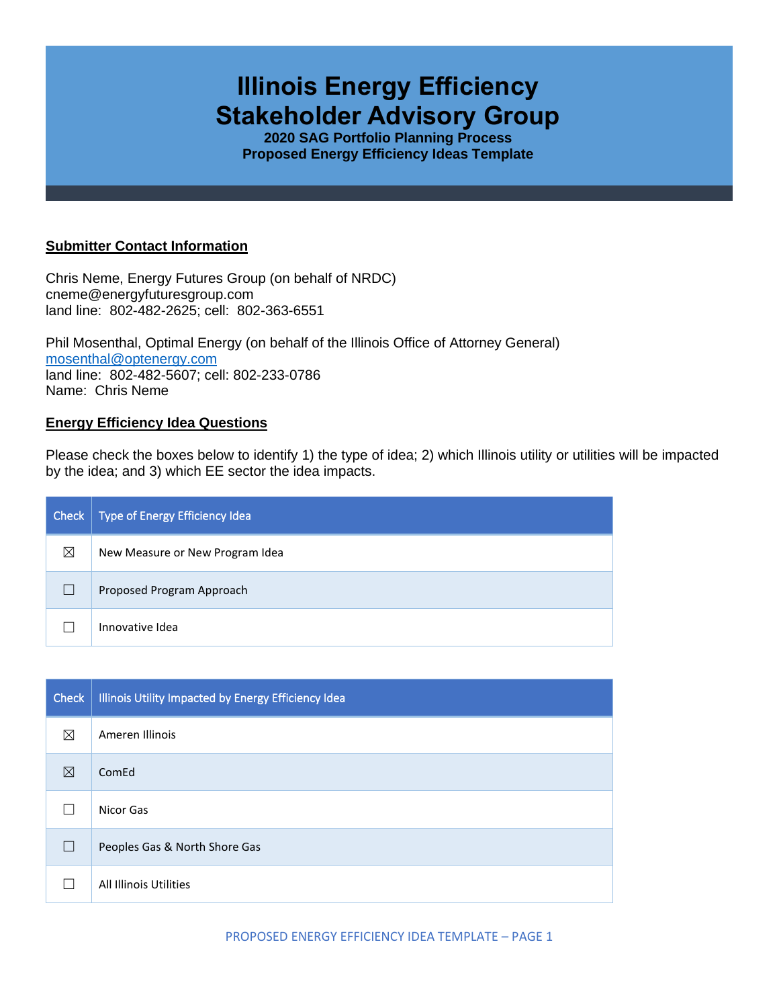# **Illinois Energy Efficiency Stakeholder Advisory Group**

**2020 SAG Portfolio Planning Process Proposed Energy Efficiency Ideas Template**

#### **Submitter Contact Information**

Chris Neme, Energy Futures Group (on behalf of NRDC) cneme@energyfuturesgroup.com land line: 802-482-2625; cell: 802-363-6551

Phil Mosenthal, Optimal Energy (on behalf of the Illinois Office of Attorney General) [mosenthal@optenergy.com](mailto:mosenthal@optenergy.com) land line: 802-482-5607; cell: 802-233-0786 Name: Chris Neme

### **Energy Efficiency Idea Questions**

Please check the boxes below to identify 1) the type of idea; 2) which Illinois utility or utilities will be impacted by the idea; and 3) which EE sector the idea impacts.

| Check | Type of Energy Efficiency Idea  |
|-------|---------------------------------|
| ⊠     | New Measure or New Program Idea |
|       | Proposed Program Approach       |
|       | Innovative Idea                 |

| <b>Check</b> | Illinois Utility Impacted by Energy Efficiency Idea |
|--------------|-----------------------------------------------------|
| ⊠            | Ameren Illinois                                     |
| $\boxtimes$  | ComEd                                               |
|              | Nicor Gas                                           |
| П            | Peoples Gas & North Shore Gas                       |
|              | All Illinois Utilities                              |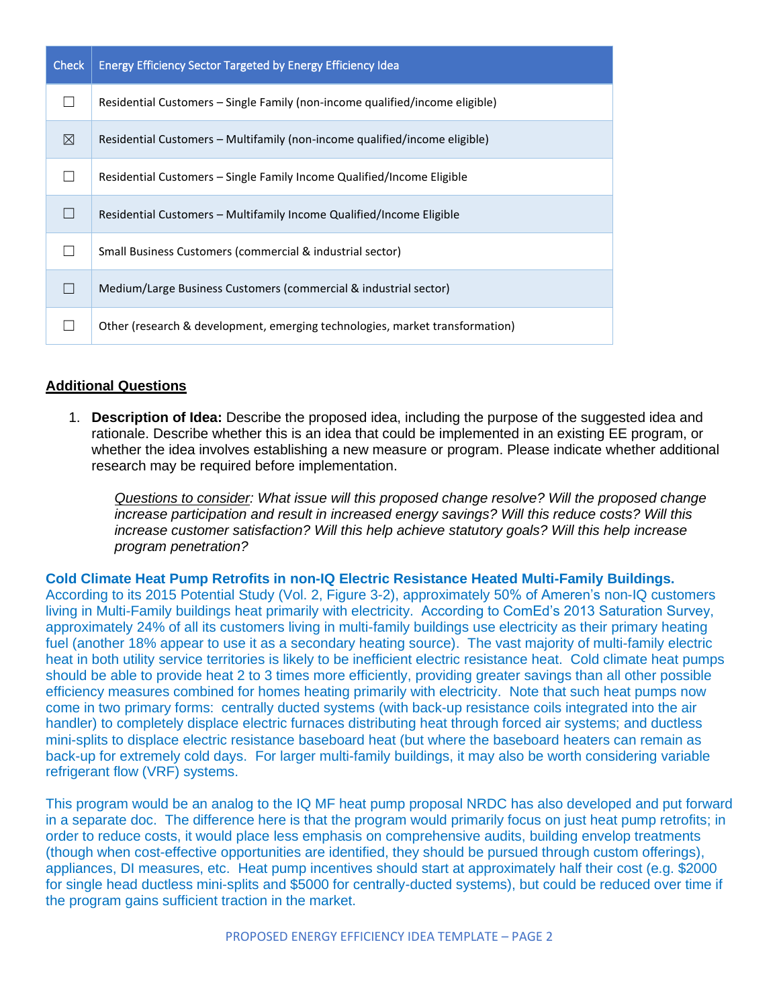| <b>Check</b> | <b>Energy Efficiency Sector Targeted by Energy Efficiency Idea</b>           |
|--------------|------------------------------------------------------------------------------|
|              | Residential Customers – Single Family (non-income qualified/income eligible) |
| $\boxtimes$  | Residential Customers - Multifamily (non-income qualified/income eligible)   |
|              | Residential Customers - Single Family Income Qualified/Income Eligible       |
|              | Residential Customers – Multifamily Income Qualified/Income Eligible         |
|              | Small Business Customers (commercial & industrial sector)                    |
|              | Medium/Large Business Customers (commercial & industrial sector)             |
|              | Other (research & development, emerging technologies, market transformation) |

## **Additional Questions**

1. **Description of Idea:** Describe the proposed idea, including the purpose of the suggested idea and rationale. Describe whether this is an idea that could be implemented in an existing EE program, or whether the idea involves establishing a new measure or program. Please indicate whether additional research may be required before implementation.

*Questions to consider: What issue will this proposed change resolve? Will the proposed change increase participation and result in increased energy savings? Will this reduce costs? Will this increase customer satisfaction? Will this help achieve statutory goals? Will this help increase program penetration?* 

**Cold Climate Heat Pump Retrofits in non-IQ Electric Resistance Heated Multi-Family Buildings.**  According to its 2015 Potential Study (Vol. 2, Figure 3-2), approximately 50% of Ameren's non-IQ customers living in Multi-Family buildings heat primarily with electricity. According to ComEd's 2013 Saturation Survey, approximately 24% of all its customers living in multi-family buildings use electricity as their primary heating fuel (another 18% appear to use it as a secondary heating source). The vast majority of multi-family electric heat in both utility service territories is likely to be inefficient electric resistance heat. Cold climate heat pumps should be able to provide heat 2 to 3 times more efficiently, providing greater savings than all other possible efficiency measures combined for homes heating primarily with electricity. Note that such heat pumps now come in two primary forms: centrally ducted systems (with back-up resistance coils integrated into the air handler) to completely displace electric furnaces distributing heat through forced air systems; and ductless mini-splits to displace electric resistance baseboard heat (but where the baseboard heaters can remain as back-up for extremely cold days. For larger multi-family buildings, it may also be worth considering variable refrigerant flow (VRF) systems.

This program would be an analog to the IQ MF heat pump proposal NRDC has also developed and put forward in a separate doc. The difference here is that the program would primarily focus on just heat pump retrofits; in order to reduce costs, it would place less emphasis on comprehensive audits, building envelop treatments (though when cost-effective opportunities are identified, they should be pursued through custom offerings), appliances, DI measures, etc. Heat pump incentives should start at approximately half their cost (e.g. \$2000 for single head ductless mini-splits and \$5000 for centrally-ducted systems), but could be reduced over time if the program gains sufficient traction in the market.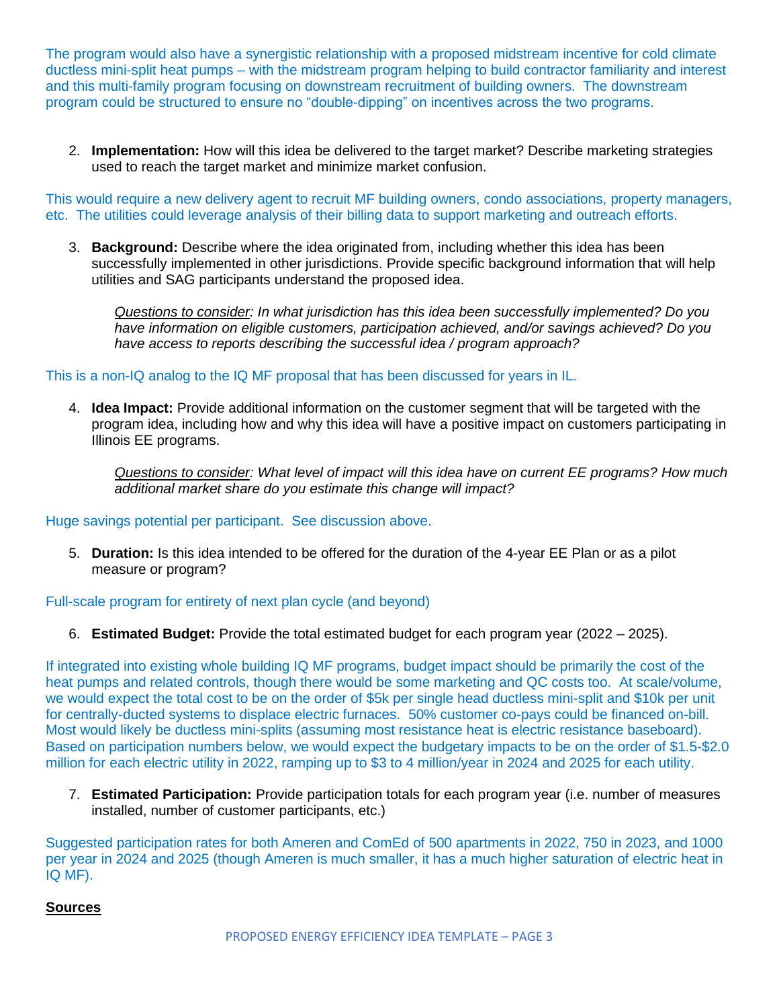The program would also have a synergistic relationship with a proposed midstream incentive for cold climate ductless mini-split heat pumps – with the midstream program helping to build contractor familiarity and interest and this multi-family program focusing on downstream recruitment of building owners. The downstream program could be structured to ensure no "double-dipping" on incentives across the two programs.

2. **Implementation:** How will this idea be delivered to the target market? Describe marketing strategies used to reach the target market and minimize market confusion.

This would require a new delivery agent to recruit MF building owners, condo associations, property managers, etc. The utilities could leverage analysis of their billing data to support marketing and outreach efforts.

3. **Background:** Describe where the idea originated from, including whether this idea has been successfully implemented in other jurisdictions. Provide specific background information that will help utilities and SAG participants understand the proposed idea.

*Questions to consider: In what jurisdiction has this idea been successfully implemented? Do you have information on eligible customers, participation achieved, and/or savings achieved? Do you have access to reports describing the successful idea / program approach?* 

This is a non-IQ analog to the IQ MF proposal that has been discussed for years in IL.

4. **Idea Impact:** Provide additional information on the customer segment that will be targeted with the program idea, including how and why this idea will have a positive impact on customers participating in Illinois EE programs.

*Questions to consider: What level of impact will this idea have on current EE programs? How much additional market share do you estimate this change will impact?*

Huge savings potential per participant. See discussion above.

5. **Duration:** Is this idea intended to be offered for the duration of the 4-year EE Plan or as a pilot measure or program?

Full-scale program for entirety of next plan cycle (and beyond)

6. **Estimated Budget:** Provide the total estimated budget for each program year (2022 – 2025).

If integrated into existing whole building IQ MF programs, budget impact should be primarily the cost of the heat pumps and related controls, though there would be some marketing and QC costs too. At scale/volume, we would expect the total cost to be on the order of \$5k per single head ductless mini-split and \$10k per unit for centrally-ducted systems to displace electric furnaces. 50% customer co-pays could be financed on-bill. Most would likely be ductless mini-splits (assuming most resistance heat is electric resistance baseboard). Based on participation numbers below, we would expect the budgetary impacts to be on the order of \$1.5-\$2.0 million for each electric utility in 2022, ramping up to \$3 to 4 million/year in 2024 and 2025 for each utility.

7. **Estimated Participation:** Provide participation totals for each program year (i.e. number of measures installed, number of customer participants, etc.)

Suggested participation rates for both Ameren and ComEd of 500 apartments in 2022, 750 in 2023, and 1000 per year in 2024 and 2025 (though Ameren is much smaller, it has a much higher saturation of electric heat in IQ MF).

### **Sources**